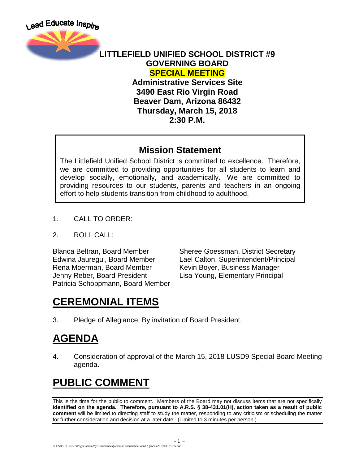

#### **LITTLEFIELD UNIFIED SCHOOL DISTRICT #9 GOVERNING BOARD SPECIAL MEETING**

**Administrative Services Site 3490 East Rio Virgin Road Beaver Dam, Arizona 86432 Thursday, March 15, 2018 2:30 P.M.**

#### **Mission Statement**

The Littlefield Unified School District is committed to excellence. Therefore, we are committed to providing opportunities for all students to learn and develop socially, emotionally, and academically. We are committed to providing resources to our students, parents and teachers in an ongoing effort to help students transition from childhood to adulthood.

- 1. CALL TO ORDER:
- 2. ROLL CALL:

Rena Moerman, Board Member Kevin Boyer, Business Manager Jenny Reber, Board President Lisa Young, Elementary Principal Patricia Schoppmann, Board Member

Blanca Beltran, Board Member Sheree Goessman, District Secretary<br>Edwina Jauregui, Board Member Lael Calton, Superintendent/Principal Lael Calton, Superintendent/Principal

# **CEREMONIAL ITEMS**

3. Pledge of Allegiance: By invitation of Board President.

# **AGENDA**

4. Consideration of approval of the March 15, 2018 LUSD9 Special Board Meeting agenda.

# **PUBLIC COMMENT**

This is the time for the public to comment. Members of the Board may not discuss items that are not specifically **identified on the agenda. Therefore, pursuant to A.R.S. § 38-431.01(H), action taken as a result of public comment** will be limited to directing staff to study the matter, responding to any criticism or scheduling the matter for further consideration and decision at a later date. (Limited to 3 minutes per person.)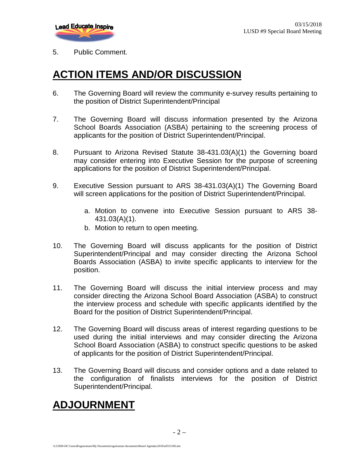

#### 5. Public Comment.

#### **ACTION ITEMS AND/OR DISCUSSION**

- 6. The Governing Board will review the community e-survey results pertaining to the position of District Superintendent/Principal
- 7. The Governing Board will discuss information presented by the Arizona School Boards Association (ASBA) pertaining to the screening process of applicants for the position of District Superintendent/Principal.
- 8. Pursuant to Arizona Revised Statute 38-431.03(A)(1) the Governing board may consider entering into Executive Session for the purpose of screening applications for the position of District Superintendent/Principal.
- 9. Executive Session pursuant to ARS 38-431.03(A)(1) The Governing Board will screen applications for the position of District Superintendent/Principal.
	- a. Motion to convene into Executive Session pursuant to ARS 38- 431.03(A)(1).
	- b. Motion to return to open meeting.
- 10. The Governing Board will discuss applicants for the position of District Superintendent/Principal and may consider directing the Arizona School Boards Association (ASBA) to invite specific applicants to interview for the position.
- 11. The Governing Board will discuss the initial interview process and may consider directing the Arizona School Board Association (ASBA) to construct the interview process and schedule with specific applicants identified by the Board for the position of District Superintendent/Principal.
- 12. The Governing Board will discuss areas of interest regarding questions to be used during the initial interviews and may consider directing the Arizona School Board Association (ASBA) to construct specific questions to be asked of applicants for the position of District Superintendent/Principal.
- 13. The Governing Board will discuss and consider options and a date related to the configuration of finalists interviews for the position of District Superintendent/Principal.

#### **ADJOURNMENT**